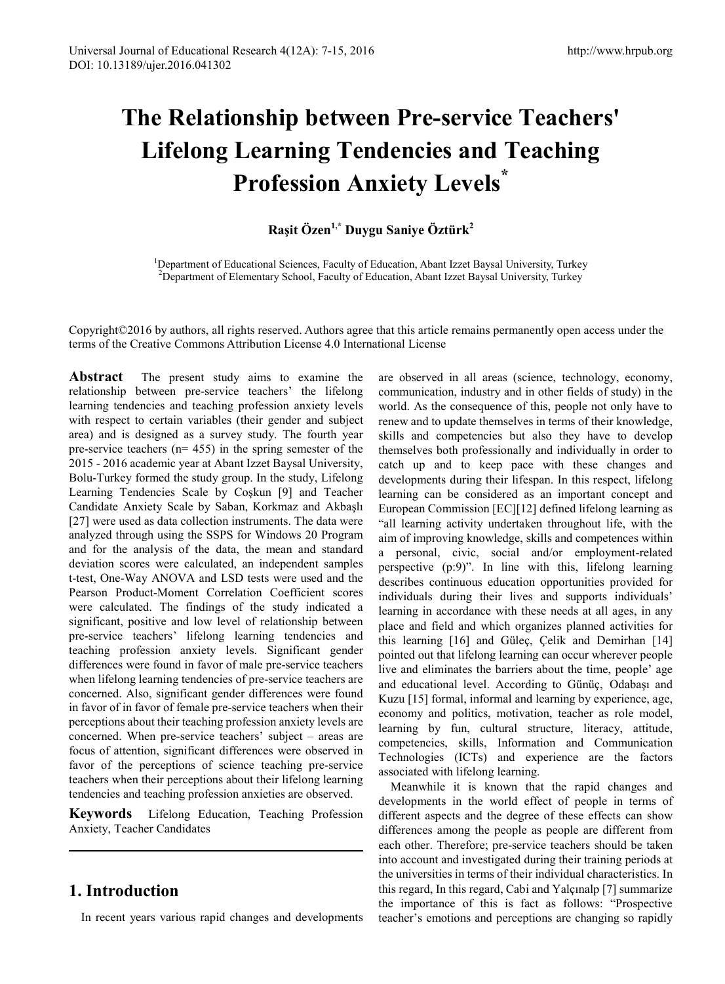# **The Relationship between Pre-service Teachers' Lifelong Learning Tendencies and Teaching Profession Anxiety Levels\***

# **Raşit Özen1,\* Duygu Saniye Öztürk<sup>2</sup>**

<sup>1</sup>Department of Educational Sciences, Faculty of Education, Abant Izzet Baysal University, Turkey<br><sup>2</sup>Department of Elementary School, Faculty of Education, Abant Izzet Baysal University, Turkey <sup>2</sup>Department of Elementary School, Faculty of Education, Abant Izzet Baysal University, Turkey

Copyright©2016 by authors, all rights reserved. Authors agree that this article remains permanently open access under the terms of the Creative Commons Attribution License 4.0 International License

**Abstract** The present study aims to examine the relationship between pre-service teachers' the lifelong learning tendencies and teaching profession anxiety levels with respect to certain variables (their gender and subject area) and is designed as a survey study. The fourth year pre-service teachers (n= 455) in the spring semester of the 2015 - 2016 academic year at Abant Izzet Baysal University, Bolu-Turkey formed the study group. In the study, Lifelong Learning Tendencies Scale by Coşkun [9] and Teacher Candidate Anxiety Scale by Saban, Korkmaz and Akbaşlı [27] were used as data collection instruments. The data were analyzed through using the SSPS for Windows 20 Program and for the analysis of the data, the mean and standard deviation scores were calculated, an independent samples t-test, One-Way ANOVA and LSD tests were used and the Pearson Product-Moment Correlation Coefficient scores were calculated. The findings of the study indicated a significant, positive and low level of relationship between pre-service teachers' lifelong learning tendencies and teaching profession anxiety levels. Significant gender differences were found in favor of male pre-service teachers when lifelong learning tendencies of pre-service teachers are concerned. Also, significant gender differences were found in favor of in favor of female pre-service teachers when their perceptions about their teaching profession anxiety levels are concerned. When pre-service teachers' subject – areas are focus of attention, significant differences were observed in favor of the perceptions of science teaching pre-service teachers when their perceptions about their lifelong learning tendencies and teaching profession anxieties are observed.

**Keywords** Lifelong Education, Teaching Profession Anxiety, Teacher Candidates

# **1. Introduction**

In recent years various rapid changes and developments

are observed in all areas (science, technology, economy, communication, industry and in other fields of study) in the world. As the consequence of this, people not only have to renew and to update themselves in terms of their knowledge, skills and competencies but also they have to develop themselves both professionally and individually in order to catch up and to keep pace with these changes and developments during their lifespan. In this respect, lifelong learning can be considered as an important concept and European Commission [EC][12] defined lifelong learning as "all learning activity undertaken throughout life, with the aim of improving knowledge, skills and competences within a personal, civic, social and/or employment-related perspective (p:9)". In line with this, lifelong learning describes continuous education opportunities provided for individuals during their lives and supports individuals' learning in accordance with these needs at all ages, in any place and field and which organizes planned activities for this learning [16] and Güleç, Çelik and Demirhan [14] pointed out that lifelong learning can occur wherever people live and eliminates the barriers about the time, people' age and educational level. According to Günüç, Odabaşı and Kuzu [15] formal, informal and learning by experience, age, economy and politics, motivation, teacher as role model, learning by fun, cultural structure, literacy, attitude, competencies, skills, Information and Communication Technologies (ICTs) and experience are the factors associated with lifelong learning.

Meanwhile it is known that the rapid changes and developments in the world effect of people in terms of different aspects and the degree of these effects can show differences among the people as people are different from each other. Therefore; pre-service teachers should be taken into account and investigated during their training periods at the universities in terms of their individual characteristics. In this regard, In this regard, Cabi and Yalçınalp [7] summarize the importance of this is fact as follows: "Prospective teacher's emotions and perceptions are changing so rapidly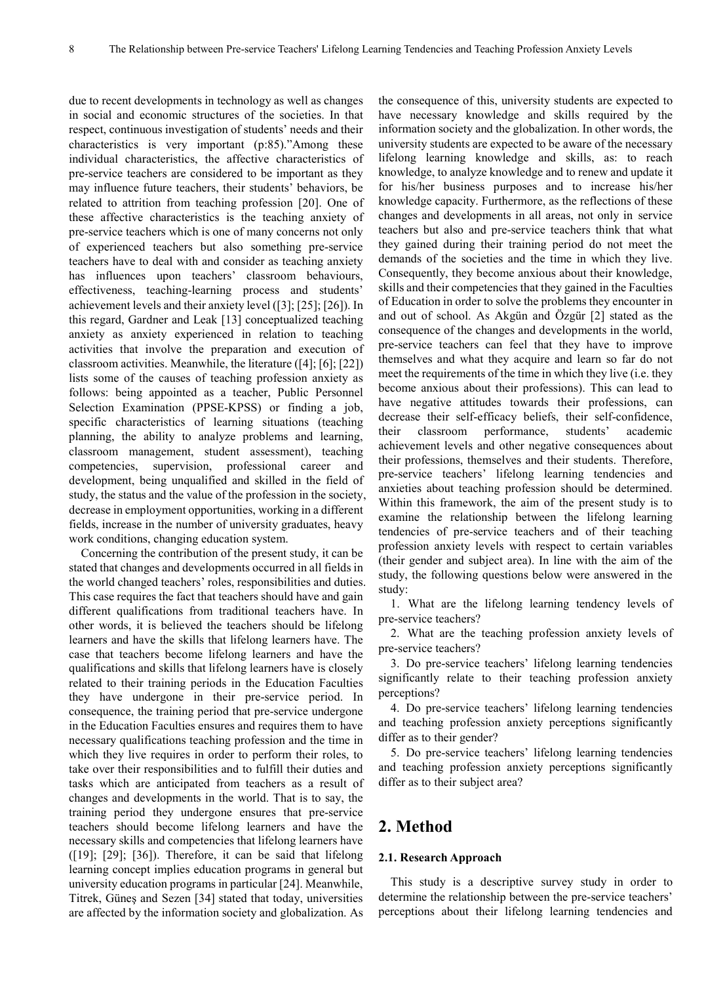due to recent developments in technology as well as changes in social and economic structures of the societies. In that respect, continuous investigation of students' needs and their characteristics is very important (p:85)."Among these individual characteristics, the affective characteristics of pre-service teachers are considered to be important as they may influence future teachers, their students' behaviors, be related to attrition from teaching profession [20]. One of these affective characteristics is the teaching anxiety of pre-service teachers which is one of many concerns not only of experienced teachers but also something pre-service teachers have to deal with and consider as teaching anxiety has influences upon teachers' classroom behaviours, effectiveness, teaching-learning process and students' achievement levels and their anxiety level ([3]; [25]; [26]). In this regard, Gardner and Leak [13] conceptualized teaching anxiety as anxiety experienced in relation to teaching activities that involve the preparation and execution of classroom activities. Meanwhile, the literature ([4]; [6]; [22]) lists some of the causes of teaching profession anxiety as follows: being appointed as a teacher, Public Personnel Selection Examination (PPSE-KPSS) or finding a job, specific characteristics of learning situations (teaching planning, the ability to analyze problems and learning, classroom management, student assessment), teaching competencies, supervision, professional career and development, being unqualified and skilled in the field of study, the status and the value of the profession in the society, decrease in employment opportunities, working in a different fields, increase in the number of university graduates, heavy work conditions, changing education system.

Concerning the contribution of the present study, it can be stated that changes and developments occurred in all fields in the world changed teachers' roles, responsibilities and duties. This case requires the fact that teachers should have and gain different qualifications from traditional teachers have. In other words, it is believed the teachers should be lifelong learners and have the skills that lifelong learners have. The case that teachers become lifelong learners and have the qualifications and skills that lifelong learners have is closely related to their training periods in the Education Faculties they have undergone in their pre-service period. In consequence, the training period that pre-service undergone in the Education Faculties ensures and requires them to have necessary qualifications teaching profession and the time in which they live requires in order to perform their roles, to take over their responsibilities and to fulfill their duties and tasks which are anticipated from teachers as a result of changes and developments in the world. That is to say, the training period they undergone ensures that pre-service teachers should become lifelong learners and have the necessary skills and competencies that lifelong learners have  $(19)$ ;  $[29]$ ;  $[36]$ ). Therefore, it can be said that lifelong learning concept implies education programs in general but university education programs in particular [24]. Meanwhile, Titrek, Güneş and Sezen [34] stated that today, universities are affected by the information society and globalization. As

the consequence of this, university students are expected to have necessary knowledge and skills required by the information society and the globalization. In other words, the university students are expected to be aware of the necessary lifelong learning knowledge and skills, as: to reach knowledge, to analyze knowledge and to renew and update it for his/her business purposes and to increase his/her knowledge capacity. Furthermore, as the reflections of these changes and developments in all areas, not only in service teachers but also and pre-service teachers think that what they gained during their training period do not meet the demands of the societies and the time in which they live. Consequently, they become anxious about their knowledge, skills and their competencies that they gained in the Faculties of Education in order to solve the problems they encounter in and out of school. As Akgün and Özgür [2] stated as the consequence of the changes and developments in the world, pre-service teachers can feel that they have to improve themselves and what they acquire and learn so far do not meet the requirements of the time in which they live (i.e. they become anxious about their professions). This can lead to have negative attitudes towards their professions, can decrease their self-efficacy beliefs, their self-confidence, their classroom performance, students' academic achievement levels and other negative consequences about their professions, themselves and their students. Therefore, pre-service teachers' lifelong learning tendencies and anxieties about teaching profession should be determined. Within this framework, the aim of the present study is to examine the relationship between the lifelong learning tendencies of pre-service teachers and of their teaching profession anxiety levels with respect to certain variables (their gender and subject area). In line with the aim of the study, the following questions below were answered in the study:

1. What are the lifelong learning tendency levels of pre-service teachers?

2. What are the teaching profession anxiety levels of pre-service teachers?

3. Do pre-service teachers' lifelong learning tendencies significantly relate to their teaching profession anxiety perceptions?

4. Do pre-service teachers' lifelong learning tendencies and teaching profession anxiety perceptions significantly differ as to their gender?

5. Do pre-service teachers' lifelong learning tendencies and teaching profession anxiety perceptions significantly differ as to their subject area?

# **2. Method**

#### **2.1. Research Approach**

This study is a descriptive survey study in order to determine the relationship between the pre-service teachers' perceptions about their lifelong learning tendencies and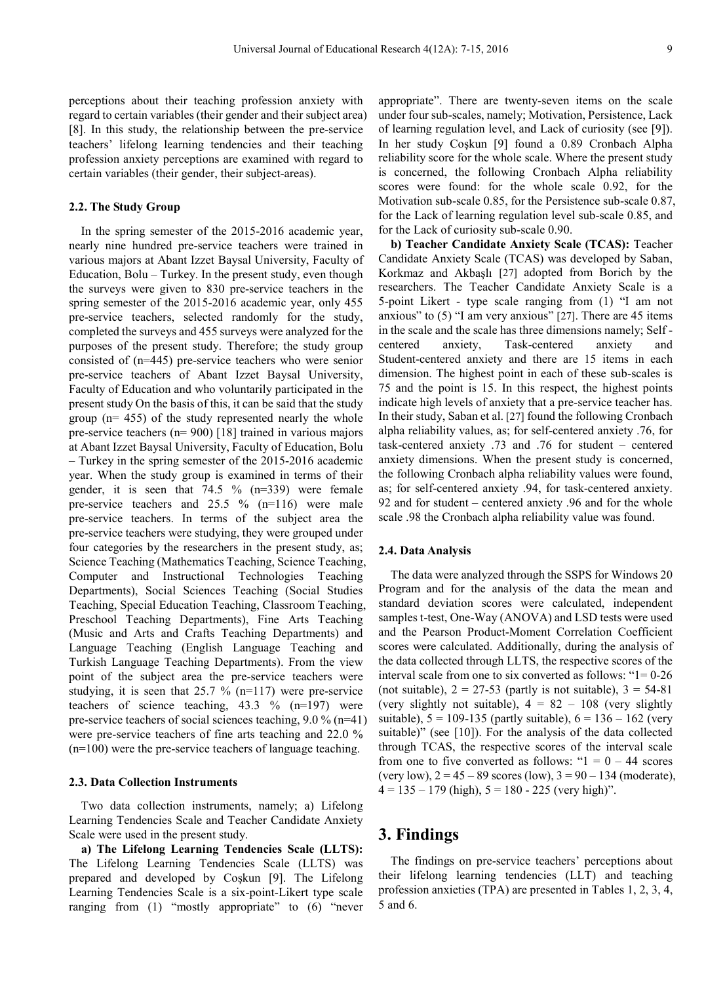perceptions about their teaching profession anxiety with regard to certain variables (their gender and their subject area) [8]. In this study, the relationship between the pre-service teachers' lifelong learning tendencies and their teaching profession anxiety perceptions are examined with regard to certain variables (their gender, their subject-areas).

#### **2.2. The Study Group**

In the spring semester of the 2015-2016 academic year, nearly nine hundred pre-service teachers were trained in various majors at Abant Izzet Baysal University, Faculty of Education, Bolu – Turkey. In the present study, even though the surveys were given to 830 pre-service teachers in the spring semester of the 2015-2016 academic year, only 455 pre-service teachers, selected randomly for the study, completed the surveys and 455 surveys were analyzed for the purposes of the present study. Therefore; the study group consisted of (n=445) pre-service teachers who were senior pre-service teachers of Abant Izzet Baysal University, Faculty of Education and who voluntarily participated in the present study On the basis of this, it can be said that the study group (n= 455) of the study represented nearly the whole pre-service teachers (n= 900) [18] trained in various majors at Abant Izzet Baysal University, Faculty of Education, Bolu – Turkey in the spring semester of the 2015-2016 academic year. When the study group is examined in terms of their gender, it is seen that 74.5 % (n=339) were female pre-service teachers and 25.5 % (n=116) were male pre-service teachers. In terms of the subject area the pre-service teachers were studying, they were grouped under four categories by the researchers in the present study, as; Science Teaching (Mathematics Teaching, Science Teaching, Computer and Instructional Technologies Teaching Departments), Social Sciences Teaching (Social Studies Teaching, Special Education Teaching, Classroom Teaching, Preschool Teaching Departments), Fine Arts Teaching (Music and Arts and Crafts Teaching Departments) and Language Teaching (English Language Teaching and Turkish Language Teaching Departments). From the view point of the subject area the pre-service teachers were studying, it is seen that 25.7 % (n=117) were pre-service teachers of science teaching, 43.3 % (n=197) were pre-service teachers of social sciences teaching, 9.0 % (n=41) were pre-service teachers of fine arts teaching and 22.0 % (n=100) were the pre-service teachers of language teaching.

#### **2.3. Data Collection Instruments**

Two data collection instruments, namely; a) Lifelong Learning Tendencies Scale and Teacher Candidate Anxiety Scale were used in the present study.

**a) The Lifelong Learning Tendencies Scale (LLTS):** The Lifelong Learning Tendencies Scale (LLTS) was prepared and developed by Coşkun [9]. The Lifelong Learning Tendencies Scale is a six-point-Likert type scale ranging from (1) "mostly appropriate" to (6) "never

appropriate". There are twenty-seven items on the scale under four sub-scales, namely; Motivation, Persistence, Lack of learning regulation level, and Lack of curiosity (see [9]). In her study Coşkun [9] found a 0.89 Cronbach Alpha reliability score for the whole scale. Where the present study is concerned, the following Cronbach Alpha reliability scores were found: for the whole scale 0.92, for the Motivation sub-scale 0.85, for the Persistence sub-scale 0.87, for the Lack of learning regulation level sub-scale 0.85, and for the Lack of curiosity sub-scale 0.90.

**b) Teacher Candidate Anxiety Scale (TCAS):** Teacher Candidate Anxiety Scale (TCAS) was developed by Saban, Korkmaz and Akbaşlı [27] adopted from Borich by the researchers. The Teacher Candidate Anxiety Scale is a 5-point Likert - type scale ranging from (1) "I am not anxious" to (5) "I am very anxious" [27]. There are 45 items in the scale and the scale has three dimensions namely; Self centered anxiety, Task-centered anxiety and Student-centered anxiety and there are 15 items in each dimension. The highest point in each of these sub-scales is 75 and the point is 15. In this respect, the highest points indicate high levels of anxiety that a pre-service teacher has. In their study, Saban et al. [27] found the following Cronbach alpha reliability values, as; for self-centered anxiety .76, for task-centered anxiety .73 and .76 for student – centered anxiety dimensions. When the present study is concerned, the following Cronbach alpha reliability values were found, as; for self-centered anxiety .94, for task-centered anxiety. 92 and for student – centered anxiety .96 and for the whole scale .98 the Cronbach alpha reliability value was found.

#### **2.4. Data Analysis**

The data were analyzed through the SSPS for Windows 20 Program and for the analysis of the data the mean and standard deviation scores were calculated, independent samples t-test, One-Way (ANOVA) and LSD tests were used and the Pearson Product-Moment Correlation Coefficient scores were calculated. Additionally, during the analysis of the data collected through LLTS, the respective scores of the interval scale from one to six converted as follows: "1= 0-26 (not suitable),  $2 = 27-53$  (partly is not suitable),  $3 = 54-81$ (very slightly not suitable),  $4 = 82 - 108$  (very slightly suitable),  $5 = 109-135$  (partly suitable),  $6 = 136 - 162$  (very suitable)" (see [10]). For the analysis of the data collected through TCAS, the respective scores of the interval scale from one to five converted as follows: " $1 = 0 - 44$  scores (very low),  $2 = 45 - 89$  scores (low),  $3 = 90 - 134$  (moderate),  $4 = 135 - 179$  (high),  $5 = 180 - 225$  (very high)".

## **3. Findings**

The findings on pre-service teachers' perceptions about their lifelong learning tendencies (LLT) and teaching profession anxieties (TPA) are presented in Tables 1, 2, 3, 4, 5 and 6.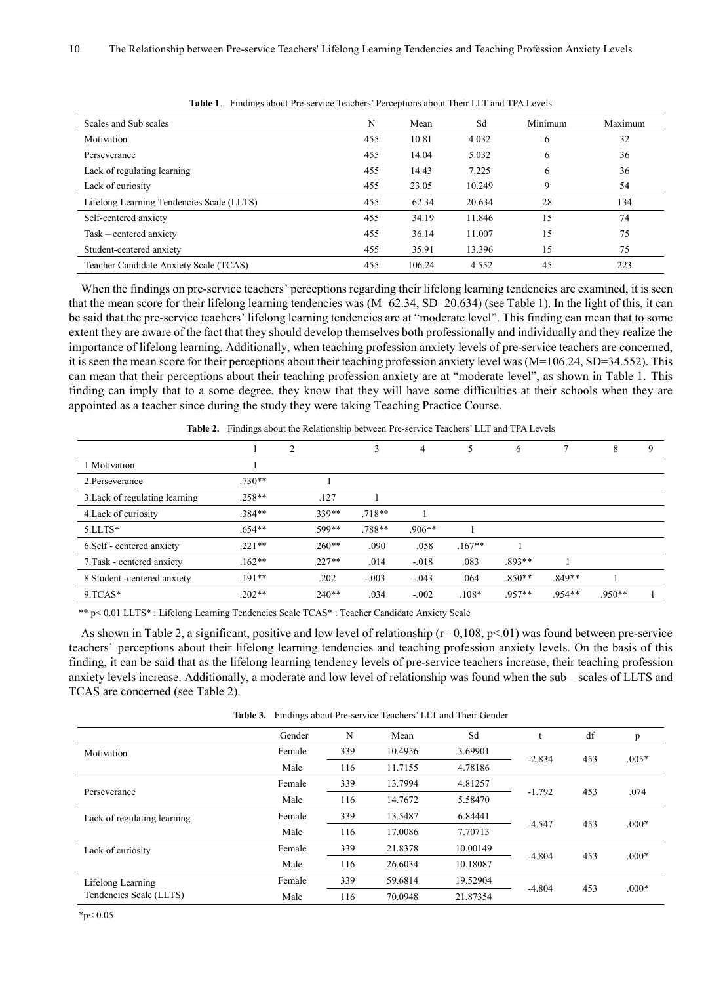| Scales and Sub scales                     | N   | Mean   | Sd     | Minimum | Maximum |
|-------------------------------------------|-----|--------|--------|---------|---------|
| Motivation                                | 455 | 10.81  | 4.032  | 6       | 32      |
| Perseverance                              | 455 | 14.04  | 5.032  | 6       | 36      |
| Lack of regulating learning               | 455 | 14.43  | 7.225  | 6       | 36      |
| Lack of curiosity                         | 455 | 23.05  | 10.249 | 9       | 54      |
| Lifelong Learning Tendencies Scale (LLTS) | 455 | 62.34  | 20.634 | 28      | 134     |
| Self-centered anxiety                     | 455 | 34.19  | 11.846 | 15      | 74      |
| Task – centered anxiety                   | 455 | 36.14  | 11.007 | 15      | 75      |
| Student-centered anxiety                  | 455 | 35.91  | 13.396 | 15      | 75      |
| Teacher Candidate Anxiety Scale (TCAS)    | 455 | 106.24 | 4.552  | 45      | 223     |

**Table 1**. Findings about Pre-service Teachers' Perceptions about Their LLT and TPA Levels

When the findings on pre-service teachers' perceptions regarding their lifelong learning tendencies are examined, it is seen that the mean score for their lifelong learning tendencies was (M=62.34, SD=20.634) (see Table 1). In the light of this, it can be said that the pre-service teachers' lifelong learning tendencies are at "moderate level". This finding can mean that to some extent they are aware of the fact that they should develop themselves both professionally and individually and they realize the importance of lifelong learning. Additionally, when teaching profession anxiety levels of pre-service teachers are concerned, it is seen the mean score for their perceptions about their teaching profession anxiety level was (M=106.24, SD=34.552). This can mean that their perceptions about their teaching profession anxiety are at "moderate level", as shown in Table 1. This finding can imply that to a some degree, they know that they will have some difficulties at their schools when they are appointed as a teacher since during the study they were taking Teaching Practice Course.

**Table 2.** Findings about the Relationship between Pre-service Teachers' LLT and TPA Levels

|                                |          | າ        | 3        | 4        | 5        | 6        |          | 8        | 9 |
|--------------------------------|----------|----------|----------|----------|----------|----------|----------|----------|---|
| 1. Motivation                  |          |          |          |          |          |          |          |          |   |
| 2. Perseverance                | $.730**$ |          |          |          |          |          |          |          |   |
| 3. Lack of regulating learning | $.258**$ | .127     |          |          |          |          |          |          |   |
| 4. Lack of curiosity           | $.384**$ | 339**    | $.718**$ |          |          |          |          |          |   |
| $5.LLTS*$                      | $.654**$ | .599**   | .788**   | $.906**$ |          |          |          |          |   |
| 6. Self - centered anxiety     | $.221**$ | $.260**$ | .090     | .058     | $.167**$ |          |          |          |   |
| 7. Task - centered anxiety     | $.162**$ | $.227**$ | .014     | $-.018$  | .083     | .893**   |          |          |   |
| 8. Student - centered anxiety  | $.191**$ | .202     | $-.003$  | $-.043$  | .064     | $.850**$ | $.849**$ |          |   |
| $9. TCAS*$                     | $.202**$ | $.240**$ | .034     | $-.002$  | $.108*$  | .957**   | .954**   | $.950**$ |   |

\*\* p< 0.01 LLTS\* : Lifelong Learning Tendencies Scale TCAS\* : Teacher Candidate Anxiety Scale

As shown in Table 2, a significant, positive and low level of relationship ( $r= 0.108$ ,  $p< 01$ ) was found between pre-service teachers' perceptions about their lifelong learning tendencies and teaching profession anxiety levels. On the basis of this finding, it can be said that as the lifelong learning tendency levels of pre-service teachers increase, their teaching profession anxiety levels increase. Additionally, a moderate and low level of relationship was found when the sub – scales of LLTS and TCAS are concerned (see Table 2).

**Table 3.** Findings about Pre-service Teachers' LLT and Their Gender

|                             | Gender | N   | Mean    | Sd       |          | df  | p       |
|-----------------------------|--------|-----|---------|----------|----------|-----|---------|
| Motivation                  | Female | 339 | 10.4956 | 3.69901  |          |     |         |
|                             | Male   | 116 | 11.7155 | 4.78186  | $-2.834$ | 453 | $.005*$ |
|                             | Female | 339 | 13.7994 | 4.81257  | $-1.792$ | 453 | .074    |
| Perseverance                | Male   | 116 | 14.7672 | 5.58470  |          |     |         |
| Lack of regulating learning | Female | 339 | 13.5487 | 6.84441  | $-4.547$ | 453 | $.000*$ |
|                             | Male   | 116 | 17.0086 | 7.70713  |          |     |         |
| Lack of curiosity           | Female | 339 | 21.8378 | 10.00149 | $-4.804$ |     | $.000*$ |
|                             | Male   | 116 | 26.6034 | 10.18087 |          | 453 |         |
| Lifelong Learning           | Female | 339 | 59.6814 | 19.52904 |          |     |         |
| Tendencies Scale (LLTS)     | Male   | 116 | 70.0948 | 21.87354 | $-4.804$ | 453 | $.000*$ |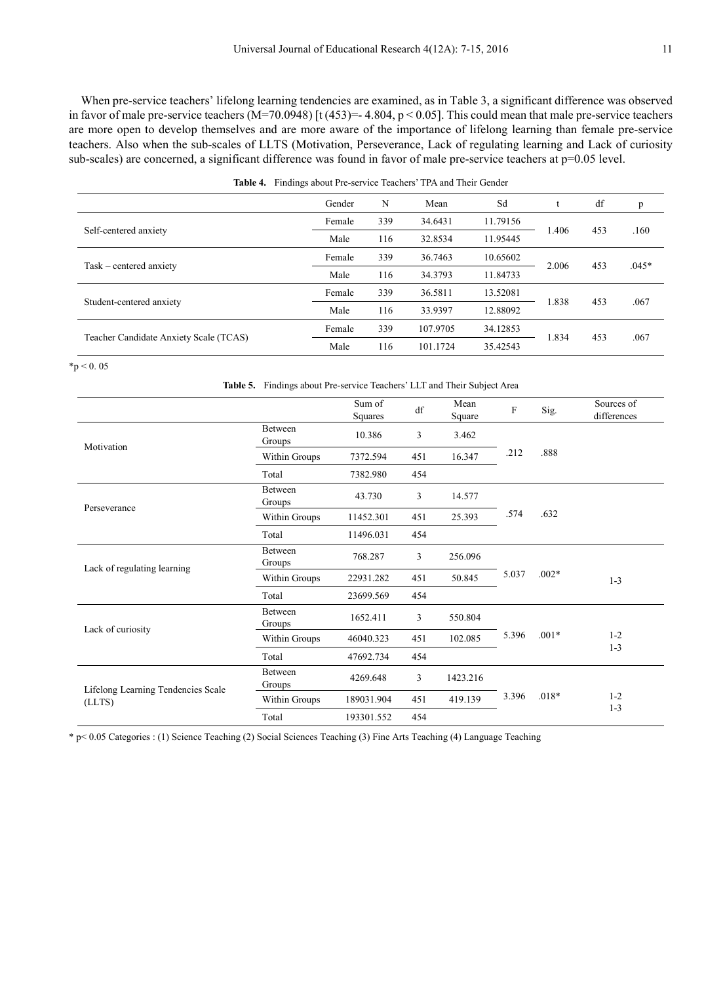When pre-service teachers' lifelong learning tendencies are examined, as in Table 3, a significant difference was observed in favor of male pre-service teachers  $(M=70.0948)$  [t (453) = 4.804, p < 0.05]. This could mean that male pre-service teachers are more open to develop themselves and are more aware of the importance of lifelong learning than female pre-service teachers. Also when the sub-scales of LLTS (Motivation, Perseverance, Lack of regulating learning and Lack of curiosity sub-scales) are concerned, a significant difference was found in favor of male pre-service teachers at p=0.05 level.

**Table 4.** Findings about Pre-service Teachers' TPA and Their Gender

|                                        | Gender | N   | Mean     | Sd       |       | df  | p       |
|----------------------------------------|--------|-----|----------|----------|-------|-----|---------|
|                                        | Female | 339 | 34.6431  | 11.79156 |       | 453 |         |
| Self-centered anxiety                  | Male   | 116 | 32.8534  | 11.95445 | 1.406 |     | .160    |
|                                        | Female | 339 | 36.7463  | 10.65602 |       | 453 |         |
| Task – centered anxiety                | Male   | 116 | 34.3793  | 11.84733 | 2.006 |     | $.045*$ |
|                                        | Female | 339 | 36.5811  | 13.52081 |       | 453 | .067    |
| Student-centered anxiety               | Male   | 116 | 33.9397  | 12.88092 | 1.838 |     |         |
|                                        | Female | 339 | 107.9705 | 34.12853 |       |     |         |
| Teacher Candidate Anxiety Scale (TCAS) | Male   | 116 | 101.1724 | 35.42543 | 1.834 | 453 | .067    |

 $*p < 0.05$ 

|                                              | Table 5. Findings about Pre-service Teachers' LLT and Their Subject Area |                   |     |                |       |         |                           |
|----------------------------------------------|--------------------------------------------------------------------------|-------------------|-----|----------------|-------|---------|---------------------------|
|                                              |                                                                          | Sum of<br>Squares | df  | Mean<br>Square | F     | Sig.    | Sources of<br>differences |
| Motivation                                   | Between<br>Groups                                                        | 10.386            | 3   | 3.462          |       |         |                           |
|                                              | Within Groups                                                            | 7372.594          | 451 | 16.347         | .212  | .888    |                           |
|                                              | Total                                                                    | 7382.980          | 454 |                |       |         |                           |
| Perseverance                                 | Between<br>Groups                                                        | 43.730            | 3   | 14.577         |       |         |                           |
|                                              | Within Groups                                                            | 11452.301         | 451 | 25.393         | .574  | .632    |                           |
|                                              | Total                                                                    | 11496.031         | 454 |                |       |         |                           |
|                                              | Between<br>Groups                                                        | 768.287           | 3   | 256.096        |       |         |                           |
| Lack of regulating learning                  | Within Groups                                                            | 22931.282         | 451 | 50.845         | 5.037 | $.002*$ | $1 - 3$                   |
|                                              | Total                                                                    | 23699.569         | 454 |                |       |         |                           |
| Lack of curiosity                            | Between<br>Groups                                                        | 1652.411          | 3   | 550.804        |       |         |                           |
|                                              | Within Groups                                                            | 46040.323         | 451 | 102.085        | 5.396 | $.001*$ | $1 - 2$<br>$1 - 3$        |
|                                              | Total                                                                    | 47692.734         | 454 |                |       |         |                           |
| Lifelong Learning Tendencies Scale<br>(LLTS) | Between<br>Groups                                                        | 4269.648          | 3   | 1423.216       |       |         |                           |
|                                              | Within Groups                                                            | 189031.904        | 451 | 419.139        | 3.396 | $.018*$ | $1 - 2$<br>$1 - 3$        |
|                                              | Total                                                                    | 193301.552        | 454 |                |       |         |                           |

\* p< 0.05 Categories : (1) Science Teaching (2) Social Sciences Teaching (3) Fine Arts Teaching (4) Language Teaching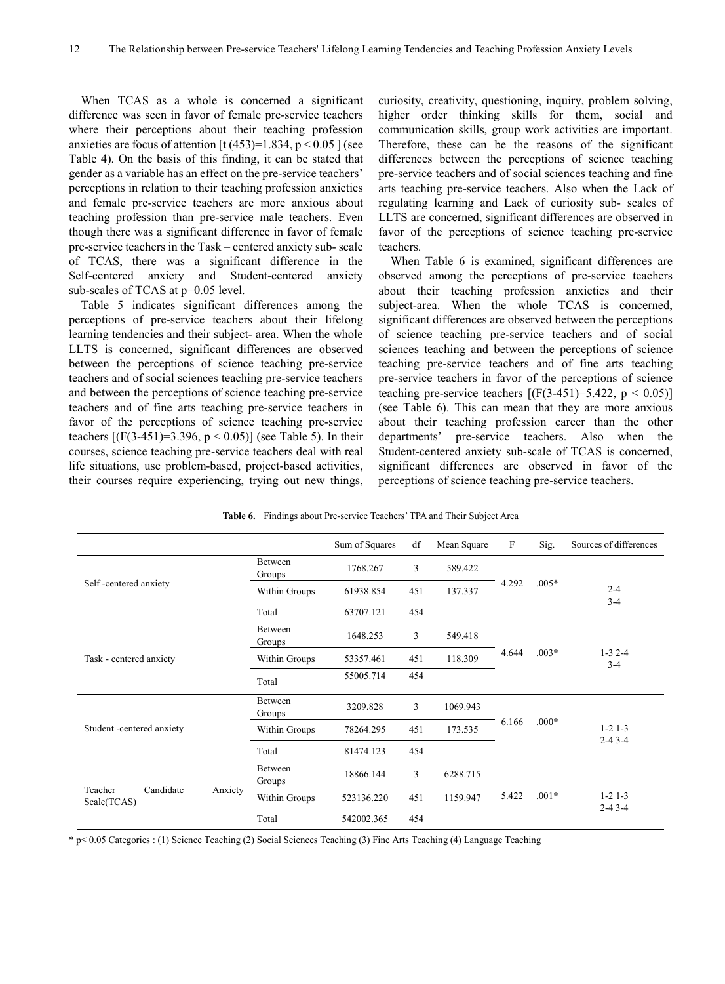When TCAS as a whole is concerned a significant difference was seen in favor of female pre-service teachers where their perceptions about their teaching profession anxieties are focus of attention  $[t (453)=1.834, p < 0.05]$  (see Table 4). On the basis of this finding, it can be stated that gender as a variable has an effect on the pre-service teachers' perceptions in relation to their teaching profession anxieties and female pre-service teachers are more anxious about teaching profession than pre-service male teachers. Even though there was a significant difference in favor of female pre-service teachers in the Task – centered anxiety sub- scale of TCAS, there was a significant difference in the Self-centered anxiety and Student-centered anxiety sub-scales of TCAS at  $p=0.05$  level.

Table 5 indicates significant differences among the perceptions of pre-service teachers about their lifelong learning tendencies and their subject- area. When the whole LLTS is concerned, significant differences are observed between the perceptions of science teaching pre-service teachers and of social sciences teaching pre-service teachers and between the perceptions of science teaching pre-service teachers and of fine arts teaching pre-service teachers in favor of the perceptions of science teaching pre-service teachers  $[(F(3-451)=3.396, p < 0.05)]$  (see Table 5). In their courses, science teaching pre-service teachers deal with real life situations, use problem-based, project-based activities, their courses require experiencing, trying out new things,

curiosity, creativity, questioning, inquiry, problem solving, higher order thinking skills for them, social and communication skills, group work activities are important. Therefore, these can be the reasons of the significant differences between the perceptions of science teaching pre-service teachers and of social sciences teaching and fine arts teaching pre-service teachers. Also when the Lack of regulating learning and Lack of curiosity sub- scales of LLTS are concerned, significant differences are observed in favor of the perceptions of science teaching pre-service teachers.

When Table 6 is examined, significant differences are observed among the perceptions of pre-service teachers about their teaching profession anxieties and their subject-area. When the whole TCAS is concerned, significant differences are observed between the perceptions of science teaching pre-service teachers and of social sciences teaching and between the perceptions of science teaching pre-service teachers and of fine arts teaching pre-service teachers in favor of the perceptions of science teaching pre-service teachers  $[(F(3-451)=5.422, p < 0.05)]$ (see Table 6). This can mean that they are more anxious about their teaching profession career than the other departments' pre-service teachers. Also when the Student-centered anxiety sub-scale of TCAS is concerned, significant differences are observed in favor of the perceptions of science teaching pre-service teachers.

|                                                |                          | Sum of Squares | df  | Mean Square | $\mathbf{F}$ | Sig.    | Sources of differences |
|------------------------------------------------|--------------------------|----------------|-----|-------------|--------------|---------|------------------------|
|                                                | <b>Between</b><br>Groups | 1768.267       | 3   | 589.422     |              |         |                        |
| Self-centered anxiety                          | Within Groups            | 61938.854      | 451 | 137.337     | 4.292        | $.005*$ | $2 - 4$                |
|                                                | Total                    | 63707.121      | 454 |             |              |         | $3 - 4$                |
|                                                | Between<br>Groups        | 1648.253       | 3   | 549.418     |              |         |                        |
| Task - centered anxiety                        | Within Groups            | 53357.461      | 451 | 118.309     | 4.644        | $.003*$ | $1-32-4$<br>$3-4$      |
|                                                | Total                    | 55005.714      | 454 |             |              |         |                        |
|                                                | <b>Between</b><br>Groups | 3209.828       | 3   | 1069.943    |              |         |                        |
| Student -centered anxiety                      | Within Groups            | 78264.295      | 451 | 173.535     | 6.166        | $.000*$ | $1-2$ 1-3              |
|                                                | Total                    | 81474.123      | 454 |             |              |         | $2 - 43 - 4$           |
| Candidate<br>Teacher<br>Anxiety<br>Scale(TCAS) | <b>Between</b><br>Groups | 18866.144      | 3   | 6288.715    |              |         |                        |
|                                                | Within Groups            | 523136.220     | 451 | 1159.947    | 5.422        | $.001*$ | $1 - 2$ 1 - 3          |
|                                                | Total                    | 542002.365     | 454 |             |              |         | $2-4$ 3 $-4$           |

**Table 6.** Findings about Pre-service Teachers' TPA and Their Subject Area

\* p< 0.05 Categories : (1) Science Teaching (2) Social Sciences Teaching (3) Fine Arts Teaching (4) Language Teaching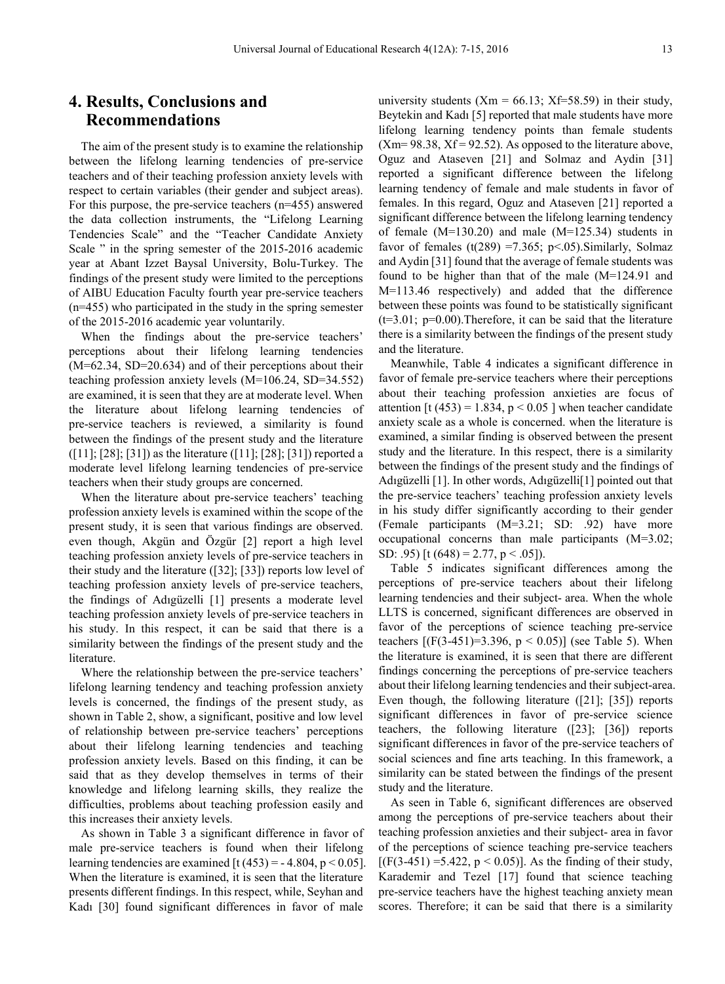## **4. Results, Conclusions and Recommendations**

The aim of the present study is to examine the relationship between the lifelong learning tendencies of pre-service teachers and of their teaching profession anxiety levels with respect to certain variables (their gender and subject areas). For this purpose, the pre-service teachers (n=455) answered the data collection instruments, the "Lifelong Learning Tendencies Scale" and the "Teacher Candidate Anxiety Scale " in the spring semester of the 2015-2016 academic year at Abant Izzet Baysal University, Bolu-Turkey. The findings of the present study were limited to the perceptions of AIBU Education Faculty fourth year pre-service teachers (n=455) who participated in the study in the spring semester of the 2015-2016 academic year voluntarily.

When the findings about the pre-service teachers' perceptions about their lifelong learning tendencies (M=62.34, SD=20.634) and of their perceptions about their teaching profession anxiety levels (M=106.24, SD=34.552) are examined, it is seen that they are at moderate level. When the literature about lifelong learning tendencies of pre-service teachers is reviewed, a similarity is found between the findings of the present study and the literature ([11]; [28]; [31]) as the literature ([11]; [28]; [31]) reported a moderate level lifelong learning tendencies of pre-service teachers when their study groups are concerned.

When the literature about pre-service teachers' teaching profession anxiety levels is examined within the scope of the present study, it is seen that various findings are observed. even though, Akgün and Özgür [2] report a high level teaching profession anxiety levels of pre-service teachers in their study and the literature ([32]; [33]) reports low level of teaching profession anxiety levels of pre-service teachers, the findings of Adıgüzelli [1] presents a moderate level teaching profession anxiety levels of pre-service teachers in his study. In this respect, it can be said that there is a similarity between the findings of the present study and the literature.

Where the relationship between the pre-service teachers' lifelong learning tendency and teaching profession anxiety levels is concerned, the findings of the present study, as shown in Table 2, show, a significant, positive and low level of relationship between pre-service teachers' perceptions about their lifelong learning tendencies and teaching profession anxiety levels. Based on this finding, it can be said that as they develop themselves in terms of their knowledge and lifelong learning skills, they realize the difficulties, problems about teaching profession easily and this increases their anxiety levels.

As shown in Table 3 a significant difference in favor of male pre-service teachers is found when their lifelong learning tendencies are examined [t (453) =  $-4.804$ , p < 0.05]. When the literature is examined, it is seen that the literature presents different findings. In this respect, while, Seyhan and Kadı [30] found significant differences in favor of male

university students  $(Xm = 66.13; Xf=58.59)$  in their study, Beytekin and Kadı [5] reported that male students have more lifelong learning tendency points than female students  $(Xm= 98.38, Xf = 92.52)$ . As opposed to the literature above, Oguz and Ataseven [21] and Solmaz and Aydin [31] reported a significant difference between the lifelong learning tendency of female and male students in favor of females. In this regard, Oguz and Ataseven [21] reported a significant difference between the lifelong learning tendency of female (M=130.20) and male (M=125.34) students in favor of females (t(289) = 7.365; p < .05). Similarly, Solmaz and Aydin [31] found that the average of female students was found to be higher than that of the male (M=124.91 and M=113.46 respectively) and added that the difference between these points was found to be statistically significant (t=3.01; p=0.00).Therefore, it can be said that the literature there is a similarity between the findings of the present study and the literature.

Meanwhile, Table 4 indicates a significant difference in favor of female pre-service teachers where their perceptions about their teaching profession anxieties are focus of attention [t (453) = 1.834,  $p < 0.05$  ] when teacher candidate anxiety scale as a whole is concerned. when the literature is examined, a similar finding is observed between the present study and the literature. In this respect, there is a similarity between the findings of the present study and the findings of Adıgüzelli [1]. In other words, Adıgüzelli[1] pointed out that the pre-service teachers' teaching profession anxiety levels in his study differ significantly according to their gender (Female participants (M=3.21; SD: .92) have more occupational concerns than male participants (M=3.02; SD: .95) [t (648) = 2.77, p < .05]).

Table 5 indicates significant differences among the perceptions of pre-service teachers about their lifelong learning tendencies and their subject- area. When the whole LLTS is concerned, significant differences are observed in favor of the perceptions of science teaching pre-service teachers  $[(F(3-451)=3.396, p < 0.05)]$  (see Table 5). When the literature is examined, it is seen that there are different findings concerning the perceptions of pre-service teachers about their lifelong learning tendencies and their subject-area. Even though, the following literature ([21]; [35]) reports significant differences in favor of pre-service science teachers, the following literature ([23]; [36]) reports significant differences in favor of the pre-service teachers of social sciences and fine arts teaching. In this framework, a similarity can be stated between the findings of the present study and the literature.

As seen in Table 6, significant differences are observed among the perceptions of pre-service teachers about their teaching profession anxieties and their subject- area in favor of the perceptions of science teaching pre-service teachers  $[(F(3-451) = 5.422, p < 0.05)]$ . As the finding of their study, Karademir and Tezel [17] found that science teaching pre-service teachers have the highest teaching anxiety mean scores. Therefore; it can be said that there is a similarity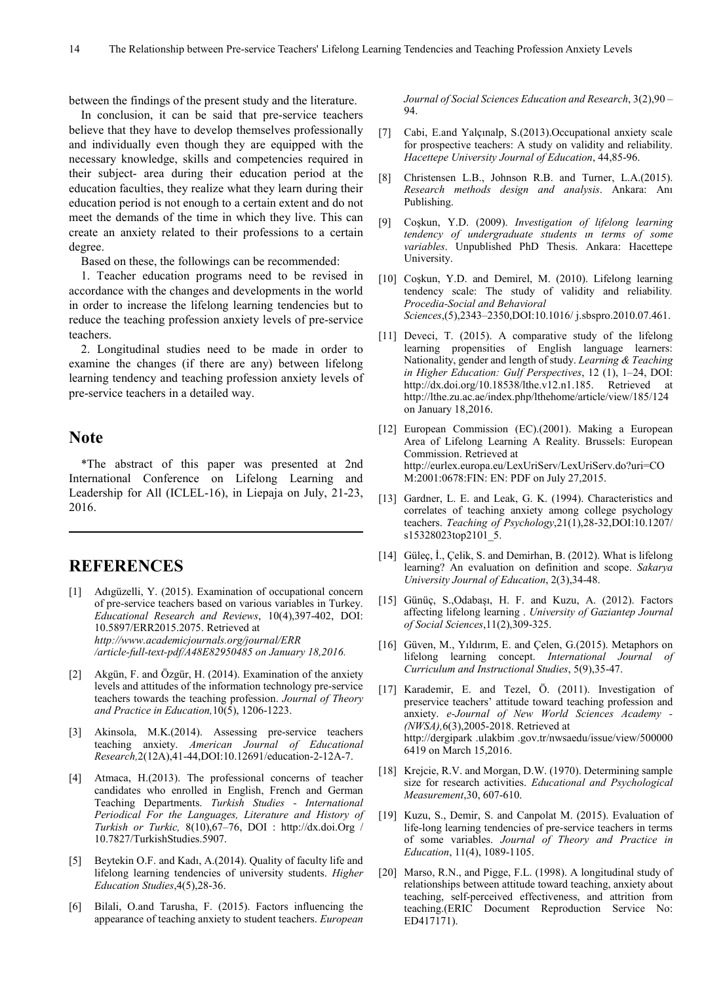between the findings of the present study and the literature.

In conclusion, it can be said that pre-service teachers believe that they have to develop themselves professionally and individually even though they are equipped with the necessary knowledge, skills and competencies required in their subject- area during their education period at the education faculties, they realize what they learn during their education period is not enough to a certain extent and do not meet the demands of the time in which they live. This can create an anxiety related to their professions to a certain degree.

Based on these, the followings can be recommended:

1. Teacher education programs need to be revised in accordance with the changes and developments in the world in order to increase the lifelong learning tendencies but to reduce the teaching profession anxiety levels of pre-service teachers.

2. Longitudinal studies need to be made in order to examine the changes (if there are any) between lifelong learning tendency and teaching profession anxiety levels of pre-service teachers in a detailed way.

## **Note**

\*The abstract of this paper was presented at 2nd International Conference on Lifelong Learning and Leadership for All (ICLEL-16), in Liepaja on July, 21-23, 2016.

## **REFERENCES**

- [1] Adıgüzelli, Y. (2015). Examination of occupational concern of pre-service teachers based on various variables in Turkey. *Educational Research and Reviews*, 10(4),397-402, DOI: 10.5897/ERR2015.2075. Retrieved at *http://www.academicjournals.org/journal/ERR /article-full-text-pdf/A48E82950485 on January 18,2016.*
- [2] Akgün, F. and Özgür, H. (2014). Examination of the anxiety levels and attitudes of the information technology pre-service teachers towards the teaching profession. *Journal of Theory and Practice in Education,*10(5), 1206-1223.
- [3] Akinsola, M.K.(2014). Assessing pre-service teachers teaching anxiety. *American Journal of Educational Research,*2(12A),41-44,DOI:10.12691/education-2-12A-7.
- [4] Atmaca, H.(2013). The professional concerns of teacher candidates who enrolled in English, French and German Teaching Departments. *Turkish Studies - International Periodical For the Languages, Literature and History of Turkish or Turkic,* 8(10),67–76, DOI : http://dx.doi.Org / 10.7827/TurkishStudies.5907.
- [5] Beytekin O.F. and Kadı, A.(2014). Quality of faculty life and lifelong learning tendencies of university students. *Higher Education Studies*,4(5),28-36.
- [6] Bilali, O.and Tarusha, F. (2015). Factors influencing the appearance of teaching anxiety to student teachers. *European*

*Journal of Social Sciences Education and Research*, 3(2),90 – 94.

- [7] Cabi, E.and Yalçınalp, S.(2013).Occupational anxiety scale for prospective teachers: A study on validity and reliability. *Hacettepe University Journal of Education*, 44,85-96.
- [8] Christensen L.B., Johnson R.B. and Turner, L.A.(2015). *Research methods design and analysis*. Ankara: Anı Publishing.
- [9] Coşkun, Y.D. (2009). *Investigation of lifelong learning tendency of undergraduate students ın terms of some variables*. Unpublished PhD Thesis. Ankara: Hacettepe University.
- [10] Coşkun, Y.D. and Demirel, M. (2010). Lifelong learning tendency scale: The study of validity and reliability*. Procedia-Social and Behavioral Sciences*,(5),2343–2350,DOI:10.1016/ j.sbspro.2010.07.461.
- [11] Deveci, T. (2015). A comparative study of the lifelong learning propensities of English language learners: Nationality, gender and length of study. *Learning & Teaching in Higher Education: Gulf Perspectives*, 12 (1), 1–24, DOI: http://dx.doi.org/10.18538/lthe.v12.n1.185. Retrieved at http://lthe.zu.ac.ae/index.php/lthehome/article/view/185/124 on January 18,2016.
- [12] European Commission (EC).(2001). Making a European Area of Lifelong Learning A Reality. Brussels: European Commission. Retrieved at http://eurlex.europa.eu/LexUriServ/LexUriServ.do?uri=CO M:2001:0678:FIN: EN: PDF on July 27,2015.
- [13] Gardner, L. E. and Leak, G. K. (1994). Characteristics and correlates of teaching anxiety among college psychology teachers. *Teaching of Psychology*,21(1),28-32,DOI:10.1207/ s15328023top2101\_5.
- [14] Güleç, İ., Çelik, S. and Demirhan, B. (2012). What is lifelong learning? An evaluation on definition and scope. *Sakarya University Journal of Education*, 2(3),34-48.
- [15] Günüç, S.,Odabaşı, H. F. and Kuzu, A. (2012). Factors affecting lifelong learning . *University of Gaziantep Journal of Social Sciences*,11(2),309-325.
- [16] Güven, M., Yıldırım, E. and Çelen, G.(2015). Metaphors on lifelong learning concept. *International Journal of Curriculum and Instructional Studies*, 5(9),35-47.
- [17] Karademir, E. and Tezel, Ö. (2011). Investigation of preservice teachers' attitude toward teaching profession and anxiety. *e-Journal of New World Sciences Academy - (NWSA),*6(3),2005-2018. Retrieved at http://dergipark .ulakbim .gov.tr/nwsaedu/issue/view/500000 6419 on March 15,2016.
- [18] Krejcie, R.V. and Morgan, D.W. (1970). Determining sample size for research activities. *Educational and Psychological Measurement*,30, 607-610.
- [19] Kuzu, S., Demir, S. and Canpolat M. (2015). Evaluation of life-long learning tendencies of pre-service teachers in terms of some variables. *Journal of Theory and Practice in Education*, 11(4), 1089-1105.
- [20] Marso, R.N., and Pigge, F.L. (1998). A longitudinal study of relationships between attitude toward teaching, anxiety about teaching, self-perceived effectiveness, and attrition from teaching.(ERIC Document Reproduction Service No: ED417171).